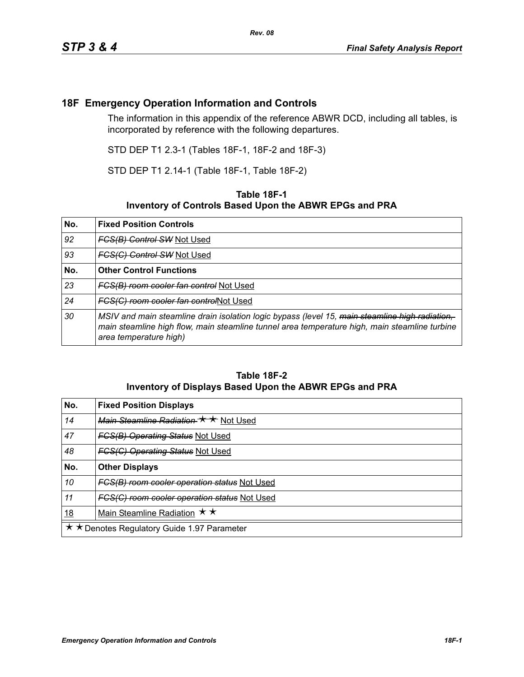## **18F Emergency Operation Information and Controls**

The information in this appendix of the reference ABWR DCD, including all tables, is incorporated by reference with the following departures.

STD DEP T1 2.3-1 (Tables 18F-1, 18F-2 and 18F-3)

STD DEP T1 2.14-1 (Table 18F-1, Table 18F-2)

## **Table 18F-1 Inventory of Controls Based Upon the ABWR EPGs and PRA**

| No. | <b>Fixed Position Controls</b>                                                                                                                                                                                            |
|-----|---------------------------------------------------------------------------------------------------------------------------------------------------------------------------------------------------------------------------|
| 92  | <b>FCS(B) Control SW Not Used</b>                                                                                                                                                                                         |
| 93  | <b>FCS(C) Control SW Not Used</b>                                                                                                                                                                                         |
| No. | <b>Other Control Functions</b>                                                                                                                                                                                            |
| 23  | FCS(B) room cooler fan control Not Used                                                                                                                                                                                   |
| 24  | FCS(C) room cooler fan controlNot Used                                                                                                                                                                                    |
| 30  | MSIV and main steamline drain isolation logic bypass (level 15, main steamline high radiation,<br>main steamline high flow, main steamline tunnel area temperature high, main steamline turbine<br>area temperature high) |

## **Table 18F-2 Inventory of Displays Based Upon the ABWR EPGs and PRA**

| No.                                         | <b>Fixed Position Displays</b>               |
|---------------------------------------------|----------------------------------------------|
| 14                                          | Main Steamline Radiation * * Not Used        |
| 47                                          | <b>FGS(B) Operating Status Not Used</b>      |
| 48                                          | <b>FCS(C) Operating Status Not Used</b>      |
| No.                                         | <b>Other Displays</b>                        |
| 10                                          | FCS(B) room cooler operation status Not Used |
| 11                                          | FGS(G) room cooler operation status Not Used |
| <u>18</u>                                   | Main Steamline Radiation $\star \star$       |
| ★ ★ Denotes Regulatory Guide 1.97 Parameter |                                              |